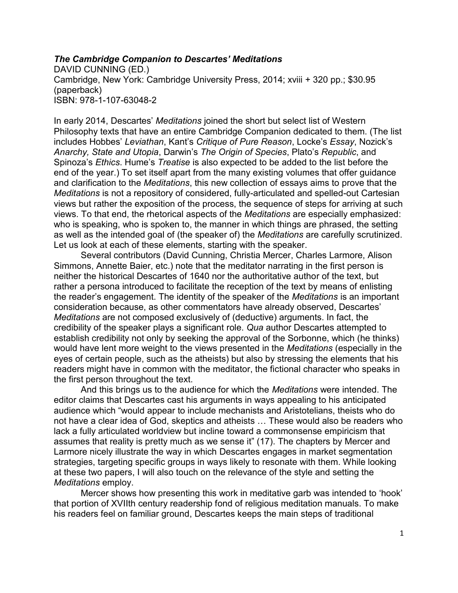## *The Cambridge Companion to Descartes' Meditations*

DAVID CUNNING (ED.) Cambridge, New York: Cambridge University Press, 2014; xviii + 320 pp.; \$30.95 (paperback) ISBN: 978-1-107-63048-2

In early 2014, Descartes" *Meditations* joined the short but select list of Western Philosophy texts that have an entire Cambridge Companion dedicated to them. (The list includes Hobbes" *Leviathan*, Kant"s *Critique of Pure Reason*, Locke"s *Essay*, Nozick"s *Anarchy, State and Utopia*, Darwin"s *The Origin of Species*, Plato"s *Republic*, and Spinoza"s *Ethics*. Hume"s *Treatise* is also expected to be added to the list before the end of the year.) To set itself apart from the many existing volumes that offer guidance and clarification to the *Meditations*, this new collection of essays aims to prove that the *Meditations* is not a repository of considered, fully-articulated and spelled-out Cartesian views but rather the exposition of the process, the sequence of steps for arriving at such views. To that end, the rhetorical aspects of the *Meditations* are especially emphasized: who is speaking, who is spoken to, the manner in which things are phrased, the setting as well as the intended goal of (the speaker of) the *Meditations* are carefully scrutinized. Let us look at each of these elements, starting with the speaker.

Several contributors (David Cunning, Christia Mercer, Charles Larmore, Alison Simmons, Annette Baier, etc.) note that the meditator narrating in the first person is neither the historical Descartes of 1640 nor the authoritative author of the text, but rather a persona introduced to facilitate the reception of the text by means of enlisting the reader"s engagement. The identity of the speaker of the *Meditations* is an important consideration because, as other commentators have already observed, Descartes" *Meditations* are not composed exclusively of (deductive) arguments. In fact, the credibility of the speaker plays a significant role. *Qua* author Descartes attempted to establish credibility not only by seeking the approval of the Sorbonne, which (he thinks) would have lent more weight to the views presented in the *Meditations* (especially in the eyes of certain people, such as the atheists) but also by stressing the elements that his readers might have in common with the meditator, the fictional character who speaks in the first person throughout the text.

And this brings us to the audience for which the *Meditations* were intended. The editor claims that Descartes cast his arguments in ways appealing to his anticipated audience which "would appear to include mechanists and Aristotelians, theists who do not have a clear idea of God, skeptics and atheists … These would also be readers who lack a fully articulated worldview but incline toward a commonsense empiricism that assumes that reality is pretty much as we sense it" (17). The chapters by Mercer and Larmore nicely illustrate the way in which Descartes engages in market segmentation strategies, targeting specific groups in ways likely to resonate with them. While looking at these two papers, I will also touch on the relevance of the style and setting the *Meditations* employ.

Mercer shows how presenting this work in meditative garb was intended to "hook" that portion of XVIIth century readership fond of religious meditation manuals. To make his readers feel on familiar ground, Descartes keeps the main steps of traditional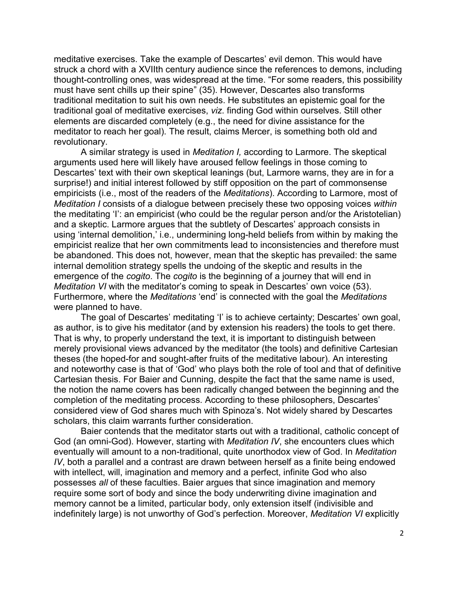meditative exercises. Take the example of Descartes" evil demon. This would have struck a chord with a XVIIth century audience since the references to demons, including thought-controlling ones, was widespread at the time. "For some readers, this possibility must have sent chills up their spine" (35). However, Descartes also transforms traditional meditation to suit his own needs. He substitutes an epistemic goal for the traditional goal of meditative exercises, *viz*. finding God within ourselves. Still other elements are discarded completely (e.g., the need for divine assistance for the meditator to reach her goal). The result, claims Mercer, is something both old and revolutionary.

A similar strategy is used in *Meditation I,* according to Larmore. The skeptical arguments used here will likely have aroused fellow feelings in those coming to Descartes' text with their own skeptical leanings (but, Larmore warns, they are in for a surprise!) and initial interest followed by stiff opposition on the part of commonsense empiricists (i.e., most of the readers of the *Meditations*). According to Larmore, most of *Meditation I* consists of a dialogue between precisely these two opposing voices *within* the meditating 'I': an empiricist (who could be the regular person and/or the Aristotelian) and a skeptic. Larmore argues that the subtlety of Descartes' approach consists in using "internal demolition," i.e., undermining long-held beliefs from within by making the empiricist realize that her own commitments lead to inconsistencies and therefore must be abandoned. This does not, however, mean that the skeptic has prevailed: the same internal demolition strategy spells the undoing of the skeptic and results in the emergence of the *cogito*. The *cogito* is the beginning of a journey that will end in *Meditation VI* with the meditator's coming to speak in Descartes' own voice (53). Furthermore, where the *Meditations* "end" is connected with the goal the *Meditations* were planned to have.

The goal of Descartes' meditating 'I' is to achieve certainty: Descartes' own goal, as author, is to give his meditator (and by extension his readers) the tools to get there. That is why, to properly understand the text, it is important to distinguish between merely provisional views advanced by the meditator (the tools) and definitive Cartesian theses (the hoped-for and sought-after fruits of the meditative labour). An interesting and noteworthy case is that of "God" who plays both the role of tool and that of definitive Cartesian thesis. For Baier and Cunning, despite the fact that the same name is used, the notion the name covers has been radically changed between the beginning and the completion of the meditating process. According to these philosophers, Descartes" considered view of God shares much with Spinoza"s. Not widely shared by Descartes scholars, this claim warrants further consideration.

Baier contends that the meditator starts out with a traditional, catholic concept of God (an omni-God). However, starting with *Meditation IV*, she encounters clues which eventually will amount to a non-traditional, quite unorthodox view of God. In *Meditation IV*, both a parallel and a contrast are drawn between herself as a finite being endowed with intellect, will, imagination and memory and a perfect, infinite God who also possesses *all* of these faculties. Baier argues that since imagination and memory require some sort of body and since the body underwriting divine imagination and memory cannot be a limited, particular body, only extension itself (indivisible and indefinitely large) is not unworthy of God"s perfection. Moreover, *Meditation VI* explicitly